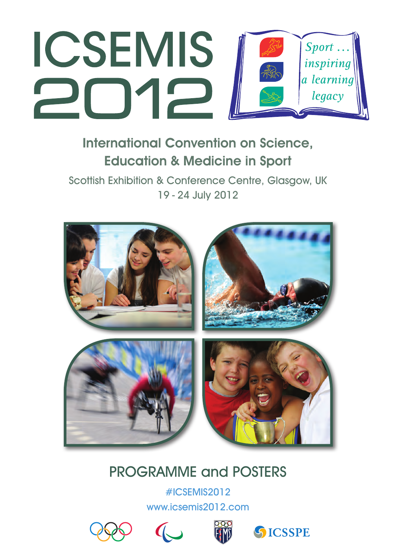

# International Convention on Science, Education & Medicine in Sport

Scottish Exhibition & Conference Centre, Glasgow, UK 19 - 24 July 2012



# PROGRAMME and POSTERS

#ICSEMIS2012 www.icsemis2012.com







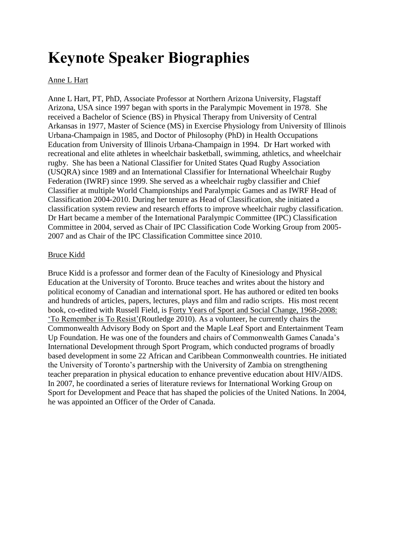# **Keynote Speaker Biographies**

# Anne L Hart

Anne L Hart, PT, PhD, Associate Professor at Northern Arizona University, Flagstaff Arizona, USA since 1997 began with sports in the Paralympic Movement in 1978. She received a Bachelor of Science (BS) in Physical Therapy from University of Central Arkansas in 1977, Master of Science (MS) in Exercise Physiology from University of Illinois Urbana-Champaign in 1985, and Doctor of Philosophy (PhD) in Health Occupations Education from University of Illinois Urbana-Champaign in 1994. Dr Hart worked with recreational and elite athletes in wheelchair basketball, swimming, athletics, and wheelchair rugby. She has been a National Classifier for United States Quad Rugby Association (USQRA) since 1989 and an International Classifier for International Wheelchair Rugby Federation (IWRF) since 1999. She served as a wheelchair rugby classifier and Chief Classifier at multiple World Championships and Paralympic Games and as IWRF Head of Classification 2004-2010. During her tenure as Head of Classification, she initiated a classification system review and research efforts to improve wheelchair rugby classification. Dr Hart became a member of the International Paralympic Committee (IPC) Classification Committee in 2004, served as Chair of IPC Classification Code Working Group from 2005- 2007 and as Chair of the IPC Classification Committee since 2010.

# Bruce Kidd

Bruce Kidd is a professor and former dean of the Faculty of Kinesiology and Physical Education at the University of Toronto. Bruce teaches and writes about the history and political economy of Canadian and international sport. He has authored or edited ten books and hundreds of articles, papers, lectures, plays and film and radio scripts. His most recent book, co-edited with Russell Field, is Forty Years of Sport and Social Change, 1968-2008: 'To Remember is To Resist'(Routledge 2010). As a volunteer, he currently chairs the Commonwealth Advisory Body on Sport and the Maple Leaf Sport and Entertainment Team Up Foundation. He was one of the founders and chairs of Commonwealth Games Canada's International Development through Sport Program, which conducted programs of broadly based development in some 22 African and Caribbean Commonwealth countries. He initiated the University of Toronto's partnership with the University of Zambia on strengthening teacher preparation in physical education to enhance preventive education about HIV/AIDS. In 2007, he coordinated a series of literature reviews for International Working Group on Sport for Development and Peace that has shaped the policies of the United Nations. In 2004, he was appointed an Officer of the Order of Canada.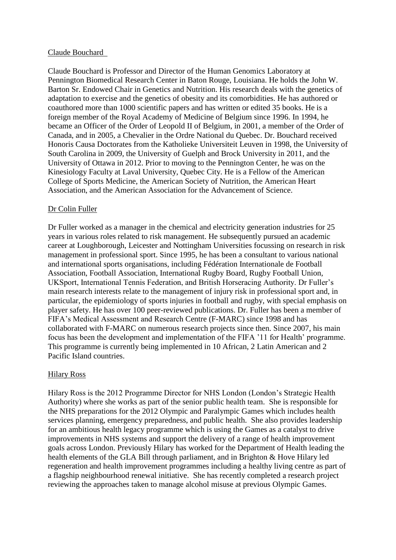### Claude Bouchard

Claude Bouchard is Professor and Director of the Human Genomics Laboratory at Pennington Biomedical Research Center in Baton Rouge, Louisiana. He holds the John W. Barton Sr. Endowed Chair in Genetics and Nutrition. His research deals with the genetics of adaptation to exercise and the genetics of obesity and its comorbidities. He has authored or coauthored more than 1000 scientific papers and has written or edited 35 books. He is a foreign member of the Royal Academy of Medicine of Belgium since 1996. In 1994, he became an Officer of the Order of Leopold II of Belgium, in 2001, a member of the Order of Canada, and in 2005, a Chevalier in the Ordre National du Quebec. Dr. Bouchard received Honoris Causa Doctorates from the Katholieke Universiteit Leuven in 1998, the University of South Carolina in 2009, the University of Guelph and Brock University in 2011, and the University of Ottawa in 2012. Prior to moving to the Pennington Center, he was on the Kinesiology Faculty at Laval University, Quebec City. He is a Fellow of the American College of Sports Medicine, the American Society of Nutrition, the American Heart Association, and the American Association for the Advancement of Science.

## Dr Colin Fuller

Dr Fuller worked as a manager in the chemical and electricity generation industries for 25 years in various roles related to risk management. He subsequently pursued an academic career at Loughborough, Leicester and Nottingham Universities focussing on research in risk management in professional sport. Since 1995, he has been a consultant to various national and international sports organisations, including Fédération Internationale de Football Association, Football Association, International Rugby Board, Rugby Football Union, UKSport, International Tennis Federation, and British Horseracing Authority. Dr Fuller's main research interests relate to the management of injury risk in professional sport and, in particular, the epidemiology of sports injuries in football and rugby, with special emphasis on player safety. He has over 100 peer-reviewed publications. Dr. Fuller has been a member of FIFA's Medical Assessment and Research Centre (F-MARC) since 1998 and has collaborated with F-MARC on numerous research projects since then. Since 2007, his main focus has been the development and implementation of the FIFA '11 for Health' programme. This programme is currently being implemented in 10 African, 2 Latin American and 2 Pacific Island countries.

## Hilary Ross

Hilary Ross is the 2012 Programme Director for NHS London (London's Strategic Health Authority) where she works as part of the senior public health team. She is responsible for the NHS preparations for the 2012 Olympic and Paralympic Games which includes health services planning, emergency preparedness, and public health. She also provides leadership for an ambitious health legacy programme which is using the Games as a catalyst to drive improvements in NHS systems and support the delivery of a range of health improvement goals across London. Previously Hilary has worked for the Department of Health leading the health elements of the GLA Bill through parliament, and in Brighton & Hove Hilary led regeneration and health improvement programmes including a healthy living centre as part of a flagship neighbourhood renewal initiative. She has recently completed a research project reviewing the approaches taken to manage alcohol misuse at previous Olympic Games.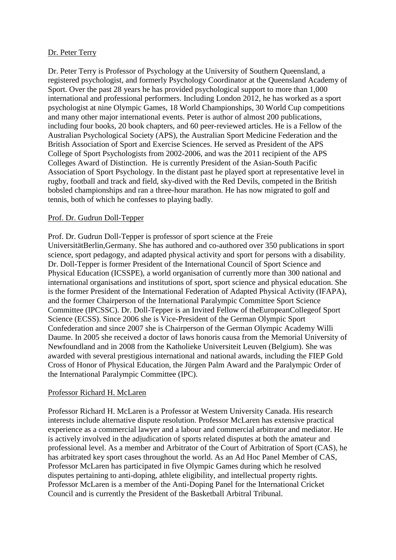# Dr. Peter Terry

Dr. Peter Terry is Professor of Psychology at the University of Southern Queensland, a registered psychologist, and formerly Psychology Coordinator at the Queensland Academy of Sport. Over the past 28 years he has provided psychological support to more than 1,000 international and professional performers. Including London 2012, he has worked as a sport psychologist at nine Olympic Games, 18 World Championships, 30 World Cup competitions and many other major international events. Peter is author of almost 200 publications, including four books, 20 book chapters, and 60 peer-reviewed articles. He is a Fellow of the Australian Psychological Society (APS), the Australian Sport Medicine Federation and the British Association of Sport and Exercise Sciences. He served as President of the APS College of Sport Psychologists from 2002-2006, and was the 2011 recipient of the APS Colleges Award of Distinction. He is currently President of the Asian-South Pacific Association of Sport Psychology. In the distant past he played sport at representative level in rugby, football and track and field, sky-dived with the Red Devils, competed in the British bobsled championships and ran a three-hour marathon. He has now migrated to golf and tennis, both of which he confesses to playing badly.

# Prof. Dr. Gudrun Doll-Tepper

Prof. Dr. Gudrun Doll-Tepper is professor of sport science at the Freie UniversitätBerlin,Germany. She has authored and co-authored over 350 publications in sport science, sport pedagogy, and adapted physical activity and sport for persons with a disability. Dr. Doll-Tepper is former President of the International Council of Sport Science and Physical Education (ICSSPE), a world organisation of currently more than 300 national and international organisations and institutions of sport, sport science and physical education. She is the former President of the International Federation of Adapted Physical Activity (IFAPA), and the former Chairperson of the International Paralympic Committee Sport Science Committee (IPCSSC). Dr. Doll-Tepper is an Invited Fellow of theEuropeanCollegeof Sport Science (ECSS). Since 2006 she is Vice-President of the German Olympic Sport Confederation and since 2007 she is Chairperson of the German Olympic Academy Willi Daume. In 2005 she received a doctor of laws honoris causa from the Memorial University of Newfoundland and in 2008 from the Katholieke Universiteit Leuven (Belgium). She was awarded with several prestigious international and national awards, including the FIEP Gold Cross of Honor of Physical Education, the Jürgen Palm Award and the Paralympic Order of the International Paralympic Committee (IPC).

## Professor Richard H. McLaren

Professor Richard H. McLaren is a Professor at Western University Canada. His research interests include alternative dispute resolution. Professor McLaren has extensive practical experience as a commercial lawyer and a labour and commercial arbitrator and mediator. He is actively involved in the adjudication of sports related disputes at both the amateur and professional level. As a member and Arbitrator of the Court of Arbitration of Sport (CAS), he has arbitrated key sport cases throughout the world. As an Ad Hoc Panel Member of CAS, Professor McLaren has participated in five Olympic Games during which he resolved disputes pertaining to anti-doping, athlete eligibility, and intellectual property rights. Professor McLaren is a member of the Anti-Doping Panel for the International Cricket Council and is currently the President of the Basketball Arbitral Tribunal.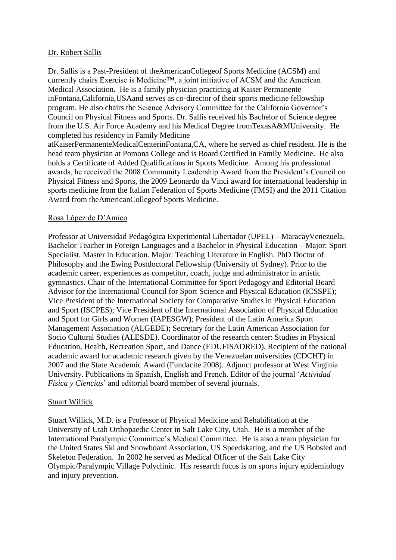## Dr. Robert Sallis

Dr. Sallis is a Past-President of theAmericanCollegeof Sports Medicine (ACSM) and currently chairs Exercise is Medicine™, a joint initiative of ACSM and the American Medical Association. He is a family physician practicing at Kaiser Permanente inFontana,California,USAand serves as co-director of their sports medicine fellowship program. He also chairs the Science Advisory Committee for the California Governor's Council on Physical Fitness and Sports. Dr. Sallis received his Bachelor of Science degree from the U.S. Air Force Academy and his Medical Degree fromTexasA&MUniversity. He completed his residency in Family Medicine

atKaiserPermanenteMedicalCenterinFontana,CA, where he served as chief resident. He is the head team physician at Pomona College and is Board Certified in Family Medicine. He also holds a Certificate of Added Qualifications in Sports Medicine. Among his professional awards, he received the 2008 Community Leadership Award from the President's Council on Physical Fitness and Sports, the 2009 Leonardo da Vinci award for international leadership in sports medicine from the Italian Federation of Sports Medicine (FMSI) and the 2011 Citation Award from theAmericanCollegeof Sports Medicine.

# Rosa López de D'Amico

Professor at Universidad Pedagógica Experimental Libertador (UPEL) – MaracayVenezuela. Bachelor Teacher in Foreign Languages and a Bachelor in Physical Education – Major: Sport Specialist. Master in Education. Major: Teaching Literature in English. PhD Doctor of Philosophy and the Ewing Postdoctoral Fellowship (University of Sydney). Prior to the academic career, experiences as competitor, coach, judge and administrator in artistic gymnastics. Chair of the International Committee for Sport Pedagogy and Editorial Board Advisor for the International Council for Sport Science and Physical Education (ICSSPE); Vice President of the International Society for Comparative Studies in Physical Education and Sport (ISCPES); Vice President of the International Association of Physical Education and Sport for Girls and Women (IAPESGW); President of the Latin America Sport Management Association (ALGEDE); Secretary for the Latin American Association for Socio Cultural Studies (ALESDE). Coordinator of the research center: Studies in Physical Education, Health, Recreation Sport, and Dance (EDUFISADRED). Recipient of the national academic award for academic research given by the Venezuelan universities (CDCHT) in 2007 and the State Academic Award (Fundacite 2008). Adjunct professor at West Virginia University. Publications in Spanish, English and French. Editor of the journal '*Actividad Física y Ciencias*' and editorial board member of several journals.

# Stuart Willick

Stuart Willick, M.D. is a Professor of Physical Medicine and Rehabilitation at the University of Utah Orthopaedic Center in Salt Lake City, Utah. He is a member of the International Paralympic Committee's Medical Committee. He is also a team physician for the United States Ski and Snowboard Association, US Speedskating, and the US Bobsled and Skeleton Federation. In 2002 he served as Medical Officer of the Salt Lake City Olympic/Paralympic Village Polyclinic. His research focus is on sports injury epidemiology and injury prevention.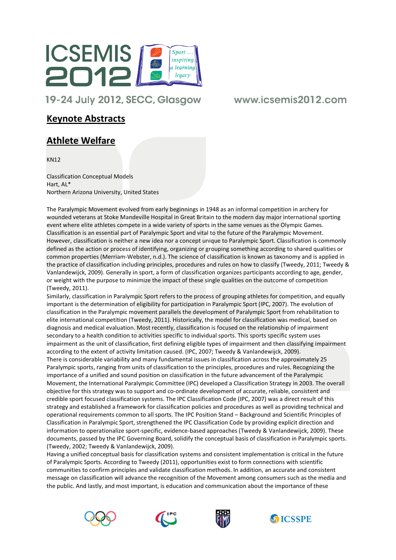

19-24 July 2012, SECC, Glasgow

# www.icsemis2012.com

# Keynote Abstracts

# Athlete Welfare

KN12

Classification Conceptual Models Hart, AL\* Northern Arizona University, United States

The Paralympic Movement evolved from early beginnings in 1948 as an informal competition in archery for wounded veterans at Stoke Mandeville Hospital in Great Britain to the modern day major international sporting event where elite athletes compete in a wide variety of sports in the same venues as the Olympic Games. Classification is an essential part of Paralympic Sport and vital to the future of the Paralympic Movement. However, classification is neither a new idea nor a concept unique to Paralympic Sport. Classification is commonly defined as the action or process of identifying, organizing or grouping something according to shared qualities or common properties (Merriam-Webster, n.d.). The science of classification is known as taxonomy and is applied in the practice of classification including principles, procedures and rules on how to classify (Tweedy, 2011; Tweedy & Vanlandewijck, 2009). Generally in sport, a form of classification organizes participants according to age, gender, or weight with the purpose to minimize the impact of these single qualities on the outcome of competition (Tweedy, 2011).

Similarly, classification in Paralympic Sport refers to the process of grouping athletes for competition, and equally important is the determination of eligibility for participation in Paralympic Sport (IPC, 2007). The evolution of classification in the Paralympic movement parallels the development of Paralympic Sport from rehabilitation to elite international competition (Tweedy, 2011). Historically, the model for classification was medical, based on diagnosis and medical evaluation. Most recently, classification is focused on the relationship of impairment secondary to a health condition to activities specific to individual sports. This sports specific system uses impairment as the unit of classification, first defining eligible types of impairment and then classifying impairment according to the extent of activity limitation caused. (IPC, 2007; Tweedy & Vanlandewijck, 2009). There is considerable variability and many fundamental issues in classification across the approximately 25 Paralympic sports, ranging from units of classification to the principles, procedures and rules. Recognizing the importance of a unified and sound position on classification in the future advancement of the Paralympic Movement, the International Paralympic Committee (IPC) developed a Classification Strategy in 2003. The overall objective for this strategy was to support and co-ordinate development of accurate, reliable, consistent and credible sport focused classification systems. The IPC Classification Code (IPC, 2007) was a direct result of this strategy and established a framework for classification policies and procedures as well as providing technical and operational requirements common to all sports. The IPC Position Stand – Background and Scientific Principles of Classification in Paralympic Sport, strengthened the IPC Classification Code by providing explicit direction and information to operationalize sport-specific, evidence-based approaches (Tweedy & Vanlandewijck, 2009). These documents, passed by the IPC Governing Board, solidify the conceptual basis of classification in Paralympic sports. (Tweedy, 2002; Tweedy & Vanlandewijck, 2009).

Having a unified conceptual basis for classification systems and consistent implementation is critical in the future of Paralympic Sports. According to Tweedy (2011), opportunities exist to form connections with scientific communities to confirm principles and validate classification methods. In addition, an accurate and consistent message on classification will advance the recognition of the Movement among consumers such as the media and the public. And lastly, and most important, is education and communication about the importance of these







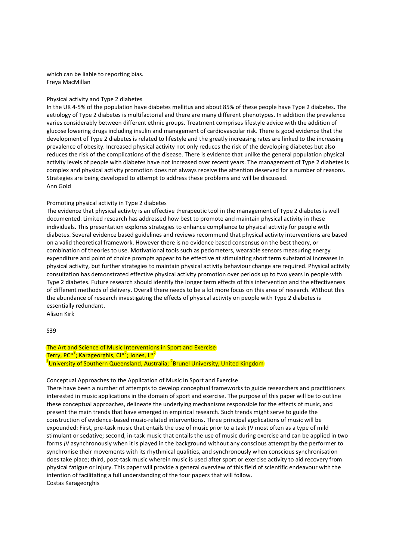which can be liable to reporting bias. Freya MacMillan

### Physical activity and Type 2 diabetes

In the UK 4-5% of the population have diabetes mellitus and about 85% of these people have Type 2 diabetes. The aetiology of Type 2 diabetes is multifactorial and there are many different phenotypes. In addition the prevalence varies considerably between different ethnic groups. Treatment comprises lifestyle advice with the addition of glucose lowering drugs including insulin and management of cardiovascular risk. There is good evidence that the development of Type 2 diabetes is related to lifestyle and the greatly increasing rates are linked to the increasing prevalence of obesity. Increased physical activity not only reduces the risk of the developing diabetes but also reduces the risk of the complications of the disease. There is evidence that unlike the general population physical activity levels of people with diabetes have not increased over recent years. The management of Type 2 diabetes is complex and physical activity promotion does not always receive the attention deserved for a number of reasons. Strategies are being developed to attempt to address these problems and will be discussed. Ann Gold

#### Promoting physical activity in Type 2 diabetes

The evidence that physical activity is an effective therapeutic tool in the management of Type 2 diabetes is well documented. Limited research has addressed how best to promote and maintain physical activity in these individuals. This presentation explores strategies to enhance compliance to physical activity for people with diabetes. Several evidence based guidelines and reviews recommend that physical activity interventions are based on a valid theoretical framework. However there is no evidence based consensus on the best theory, or combination of theories to use. Motivational tools such as pedometers, wearable sensors measuring energy expenditure and point of choice prompts appear to be effective at stimulating short term substantial increases in physical activity, but further strategies to maintain physical activity behaviour change are required. Physical activity consultation has demonstrated effective physical activity promotion over periods up to two years in people with Type 2 diabetes. Future research should identify the longer term effects of this intervention and the effectiveness of different methods of delivery. Overall there needs to be a lot more focus on this area of research. Without this the abundance of research investigating the effects of physical activity on people with Type 2 diabetes is essentially redundant.

Alison Kirk

S<sub>39</sub>

### The Art and Science of Music Interventions in Sport and Exercise Terry, PC\*<sup>1</sup>; Karageorghis, CI\*<sup>2</sup>; Jones, L\*<sup>2</sup> <sup>1</sup>University of Southern Queensland, Australia; <sup>2</sup>Brunel University, United Kingdom

#### Conceptual Approaches to the Application of Music in Sport and Exercise

There have been a number of attempts to develop conceptual frameworks to guide researchers and practitioners interested in music applications in the domain of sport and exercise. The purpose of this paper will be to outline these conceptual approaches, delineate the underlying mechanisms responsible for the effects of music, and present the main trends that have emerged in empirical research. Such trends might serve to guide the construction of evidence-based music-related interventions. Three principal applications of music will be expounded: First, pre-task music that entails the use of music prior to a task ¡V most often as a type of mild stimulant or sedative; second, in-task music that entails the use of music during exercise and can be applied in two forms *iV* asynchronously when it is played in the background without any conscious attempt by the performer to synchronise their movements with its rhythmical qualities, and synchronously when conscious synchronisation does take place; third, post-task music wherein music is used after sport or exercise activity to aid recovery from physical fatigue or injury. This paper will provide a general overview of this field of scientific endeavour with the intention of facilitating a full understanding of the four papers that will follow. Costas Karageorghis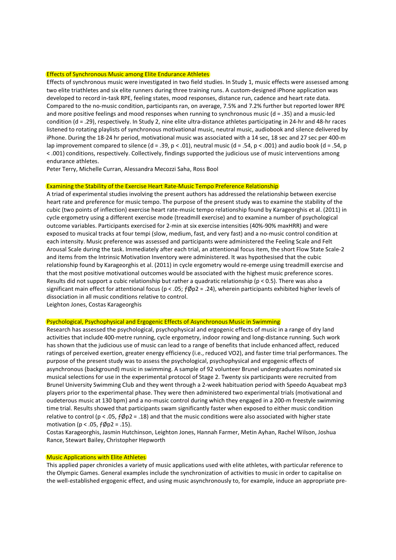#### Effects of Synchronous Music among Elite Endurance Athletes

Effects of synchronous music were investigated in two field studies. In Study 1, music effects were assessed among two elite triathletes and six elite runners during three training runs. A custom-designed iPhone application was developed to record in-task RPE, feeling states, mood responses, distance run, cadence and heart rate data. Compared to the no-music condition, participants ran, on average, 7.5% and 7.2% further but reported lower RPE and more positive feelings and mood responses when running to synchronous music ( $d = 0.35$ ) and a music-led condition (d = .29), respectively. In Study 2, nine elite ultra-distance athletes participating in 24-hr and 48-hr races listened to rotating playlists of synchronous motivational music, neutral music, audiobook and silence delivered by iPhone. During the 18-24 hr period, motivational music was associated with a 14 sec, 18 sec and 27 sec per 400-m lap improvement compared to silence (d = .39, p < .01), neutral music (d = .54, p < .001) and audio book (d = .54, p < .001) conditions, respectively. Collectively, findings supported the judicious use of music interventions among endurance athletes.

Peter Terry, Michelle Curran, Alessandra Mecozzi Saha, Ross Bool

### Examining the Stability of the Exercise Heart Rate-Music Tempo Preference Relationship

A triad of experimental studies involving the present authors has addressed the relationship between exercise heart rate and preference for music tempo. The purpose of the present study was to examine the stability of the cubic (two points of inflection) exercise heart rate-music tempo relationship found by Karageorghis et al. (2011) in cycle ergometry using a different exercise mode (treadmill exercise) and to examine a number of psychological outcome variables. Participants exercised for 2-min at six exercise intensities (40%-90% maxHRR) and were exposed to musical tracks at four tempi (slow, medium, fast, and very fast) and a no-music control condition at each intensity. Music preference was assessed and participants were administered the Feeling Scale and Felt Arousal Scale during the task. Immediately after each trial, an attentional focus item, the short Flow State Scale-2 and items from the Intrinsic Motivation Inventory were administered. It was hypothesised that the cubic relationship found by Karageorghis et al. (2011) in cycle ergometry would re-emerge using treadmill exercise and that the most positive motivational outcomes would be associated with the highest music preference scores. Results did not support a cubic relationship but rather a quadratic relationship ( $p < 0.5$ ). There was also a significant main effect for attentional focus ( $p < .05$ ;  $f\phi p2 = .24$ ), wherein participants exhibited higher levels of dissociation in all music conditions relative to control.

Leighton Jones, Costas Karageorghis

### Psychological, Psychophysical and Ergogenic Effects of Asynchronous Music in Swimming

Research has assessed the psychological, psychophysical and ergogenic effects of music in a range of dry land activities that include 400-metre running, cycle ergometry, indoor rowing and long-distance running. Such work has shown that the judicious use of music can lead to a range of benefits that include enhanced affect, reduced ratings of perceived exertion, greater energy efficiency (i.e., reduced VO2), and faster time trial performances. The purpose of the present study was to assess the psychological, psychophysical and ergogenic effects of asynchronous (background) music in swimming. A sample of 92 volunteer Brunel undergraduates nominated six musical selections for use in the experimental protocol of Stage 2. Twenty six participants were recruited from Brunel University Swimming Club and they went through a 2-week habituation period with Speedo Aquabeat mp3 players prior to the experimental phase. They were then administered two experimental trials (motivational and oudeterous music at 130 bpm) and a no-music control during which they engaged in a 200-m freestyle swimming time trial. Results showed that participants swam significantly faster when exposed to either music condition relative to control ( $p < .05$ ,  $f\phi p2 = .18$ ) and that the music conditions were also associated with higher state motivation ( $p < .05$ ,  $f\phi p2 = .15$ ).

Costas Karageorghis, Jasmin Hutchinson, Leighton Jones, Hannah Farmer, Metin Ayhan, Rachel Wilson, Joshua Rance, Stewart Bailey, Christopher Hepworth

### Music Applications with Elite Athletes

This applied paper chronicles a variety of music applications used with elite athletes, with particular reference to the Olympic Games. General examples include the synchronization of activities to music in order to capitalise on the well-established ergogenic effect, and using music asynchronously to, for example, induce an appropriate pre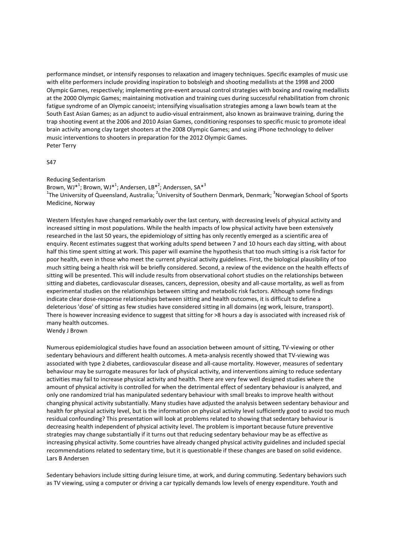performance mindset, or intensify responses to relaxation and imagery techniques. Specific examples of music use with elite performers include providing inspiration to bobsleigh and shooting medallists at the 1998 and 2000 Olympic Games, respectively; implementing pre-event arousal control strategies with boxing and rowing medallists at the 2000 Olympic Games; maintaining motivation and training cues during successful rehabilitation from chronic fatigue syndrome of an Olympic canoeist; intensifying visualisation strategies among a lawn bowls team at the South East Asian Games; as an adjunct to audio-visual entrainment, also known as brainwave training, during the trap shooting event at the 2006 and 2010 Asian Games, conditioning responses to specific music to promote ideal brain activity among clay target shooters at the 2008 Olympic Games; and using iPhone technology to deliver music interventions to shooters in preparation for the 2012 Olympic Games. Peter Terry

### S47

Reducing Sedentarism

Brown,  $\text{WJ*}^1$ ; Brown, WJ $^{*1}$ ; Andersen, LB $^{*2}$ ; Anderssen, SA $^{*3}$ <sup>1</sup>The University of Queensland, Australia; <sup>2</sup>University of Southern Denmark, Denmark; <sup>3</sup>Norwegian School of Sports Medicine, Norway

Western lifestyles have changed remarkably over the last century, with decreasing levels of physical activity and increased sitting in most populations. While the health impacts of low physical activity have been extensively researched in the last 50 years, the epidemiology of sitting has only recently emerged as a scientific area of enquiry. Recent estimates suggest that working adults spend between 7 and 10 hours each day sitting, with about half this time spent sitting at work. This paper will examine the hypothesis that too much sitting is a risk factor for poor health, even in those who meet the current physical activity guidelines. First, the biological plausibility of too much sitting being a health risk will be briefly considered. Second, a review of the evidence on the health effects of sitting will be presented. This will include results from observational cohort studies on the relationships between sitting and diabetes, cardiovascular diseases, cancers, depression, obesity and all-cause mortality, as well as from experimental studies on the relationships between sitting and metabolic risk factors. Although some findings indicate clear dose-response relationships between sitting and health outcomes, it is difficult to define a deleterious 'dose' of sitting as few studies have considered sitting in all domains (eg work, leisure, transport). There is however increasing evidence to suggest that sitting for >8 hours a day is associated with increased risk of many health outcomes.

Wendy J Brown

Numerous epidemiological studies have found an association between amount of sitting, TV-viewing or other sedentary behaviours and different health outcomes. A meta-analysis recently showed that TV-viewing was associated with type 2 diabetes, cardiovascular disease and all-cause mortality. However, measures of sedentary behaviour may be surrogate measures for lack of physical activity, and interventions aiming to reduce sedentary activities may fail to increase physical activity and health. There are very few well designed studies where the amount of physical activity is controlled for when the detrimental effect of sedentary behaviour is analyzed, and only one randomized trial has manipulated sedentary behaviour with small breaks to improve health without changing physical activity substantially. Many studies have adjusted the analysis between sedentary behaviour and health for physical activity level, but is the information on physical activity level sufficiently good to avoid too much residual confounding? This presentation will look at problems related to showing that sedentary behaviour is decreasing health independent of physical activity level. The problem is important because future preventive strategies may change substantially if it turns out that reducing sedentary behaviour may be as effective as increasing physical activity. Some countries have already changed physical activity guidelines and included special recommendations related to sedentary time, but it is questionable if these changes are based on solid evidence. Lars B Andersen

Sedentary behaviors include sitting during leisure time, at work, and during commuting. Sedentary behaviors such as TV viewing, using a computer or driving a car typically demands low levels of energy expenditure. Youth and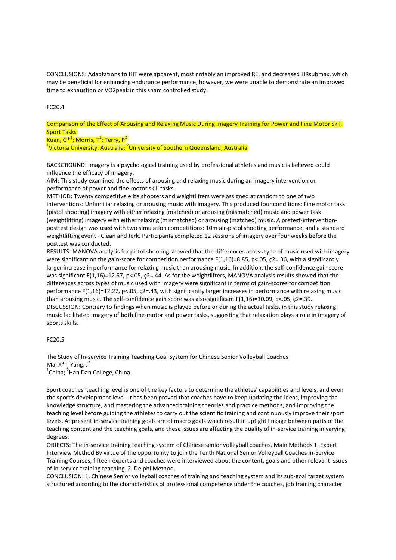CONCLUSIONS: Adaptations to IHT were apparent, most notably an improved RE, and decreased HRsubmax, which may be beneficial for enhancing endurance performance, however, we were unable to demonstrate an improved time to exhaustion or VO2peak in this sham controlled study.

### FC20.4

Comparison of the Effect of Arousing and Relaxing Music During Imagery Training for Power and Fine Motor Skill Sport Tasks

Kuan, G\*<sup>1</sup>; Morris, T<sup>1</sup>; Terry, P<sup>2</sup>

<sup>1</sup>Victoria University, Australia; <sup>2</sup>University of Southern Queensland, Australia

BACKGROUND: Imagery is a psychological training used by professional athletes and music is believed could influence the efficacy of imagery.

AIM: This study examined the effects of arousing and relaxing music during an imagery intervention on performance of power and fine-motor skill tasks.

METHOD: Twenty competitive elite shooters and weightlifters were assigned at random to one of two interventions: Unfamiliar relaxing or arousing music with imagery. This produced four conditions: Fine motor task (pistol shooting) imagery with either relaxing (matched) or arousing (mismatched) music and power task (weightlifting) imagery with either relaxing (mismatched) or arousing (matched) music. A pretest-interventionposttest design was used with two simulation competitions: 10m air-pistol shooting performance, and a standard weightlifting event - Clean and Jerk. Participants completed 12 sessions of imagery over four weeks before the posttest was conducted.

RESULTS: MANOVA analysis for pistol shooting showed that the differences across type of music used with imagery were significant on the gain-score for competition performance F(1,16)=8.85, p<.05, c2=.36, with a significantly larger increase in performance for relaxing music than arousing music. In addition, the self-confidence gain score was significant F(1,16)=12.57, p<.05, c2=.44. As for the weightlifters, MANOVA analysis results showed that the differences across types of music used with imagery were significant in terms of gain-scores for competition performance F(1,16)=12.27, p<.05, ç2=.43, with significantly larger increases in performance with relaxing music than arousing music. The self-confidence gain score was also significant F(1,16)=10.09, p<.05, c2=.39. DISCUSSION: Contrary to findings when music is played before or during the actual tasks, in this study relaxing music facilitated imagery of both fine-motor and power tasks, suggesting that relaxation plays a role in imagery of sports skills.

### FC20.5

The Study of In-service Training Teaching Goal System for Chinese Senior Volleyball Coaches Ma,  $X^*$ <sup>1</sup>; Yang, J<sup>2</sup> <sup>1</sup>China; <sup>2</sup>Han Dan College, China

Sport coaches' teaching level is one of the key factors to determine the athletes' capabilities and levels, and even the sport's development level. It has been proved that coaches have to keep updating the ideas, improving the knowledge structure, and mastering the advanced training theories and practice methods, and improving the teaching level before guiding the athletes to carry out the scientific training and continuously improve their sport levels. At present in-service training goals are of macro goals which result in uptight linkage between parts of the teaching content and the teaching goals, and these issues are affecting the quality of in-service training in varying degrees.

OBJECTS: The in-service training teaching system of Chinese senior volleyball coaches. Main Methods 1. Expert Interview Method By virtue of the opportunity to join the Tenth National Senior Volleyball Coaches In-Service Training Courses, fifteen experts and coaches were interviewed about the content, goals and other relevant issues of in-service training teaching. 2. Delphi Method.

CONCLUSION: 1. Chinese Senior volleyball coaches of training and teaching system and its sub-goal target system structured according to the characteristics of professional competence under the coaches, job training character